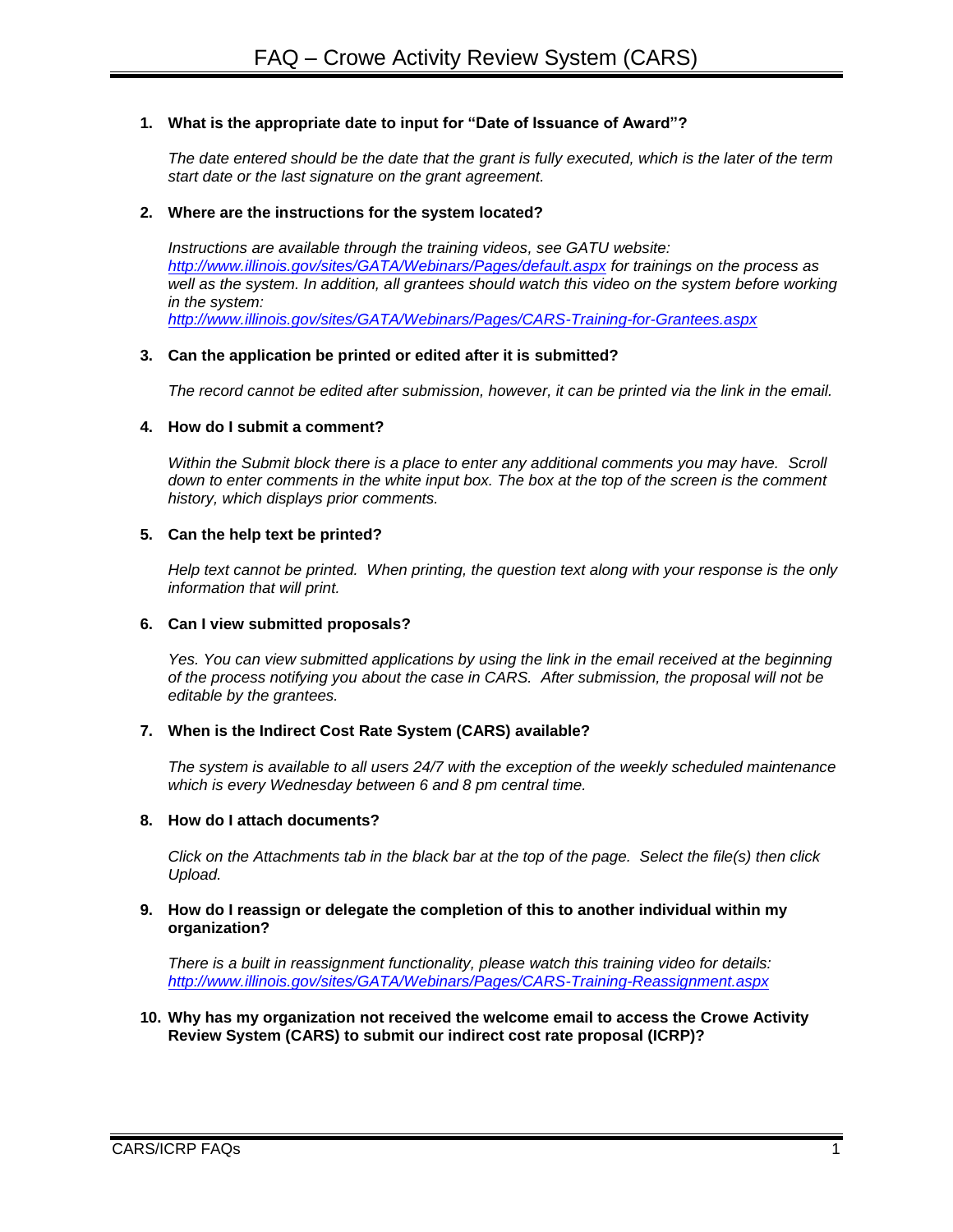# **1. What is the appropriate date to input for "Date of Issuance of Award"?**

*The date entered should be the date that the grant is fully executed, which is the later of the term start date or the last signature on the grant agreement.*

#### **2. Where are the instructions for the system located?**

*Instructions are available through the training videos, see GATU website: <http://www.illinois.gov/sites/GATA/Webinars/Pages/default.aspx> for trainings on the process as well as the system. In addition, all grantees should watch this video on the system before working in the system:* 

*<http://www.illinois.gov/sites/GATA/Webinars/Pages/CARS-Training-for-Grantees.aspx>*

## **3. Can the application be printed or edited after it is submitted?**

*The record cannot be edited after submission, however, it can be printed via the link in the email.*

## **4. How do I submit a comment?**

*Within the Submit block there is a place to enter any additional comments you may have. Scroll down to enter comments in the white input box. The box at the top of the screen is the comment history, which displays prior comments.*

## **5. Can the help text be printed?**

*Help text cannot be printed. When printing, the question text along with your response is the only information that will print.*

#### **6. Can I view submitted proposals?**

*Yes. You can view submitted applications by using the link in the email received at the beginning of the process notifying you about the case in CARS. After submission, the proposal will not be editable by the grantees.*

#### **7. When is the Indirect Cost Rate System (CARS) available?**

*The system is available to all users 24/7 with the exception of the weekly scheduled maintenance which is every Wednesday between 6 and 8 pm central time.*

## **8. How do I attach documents?**

*Click on the Attachments tab in the black bar at the top of the page. Select the file(s) then click Upload.*

#### **9. How do I reassign or delegate the completion of this to another individual within my organization?**

*There is a built in reassignment functionality, please watch this training video for details: <http://www.illinois.gov/sites/GATA/Webinars/Pages/CARS-Training-Reassignment.aspx>*

**10. Why has my organization not received the welcome email to access the Crowe Activity Review System (CARS) to submit our indirect cost rate proposal (ICRP)?**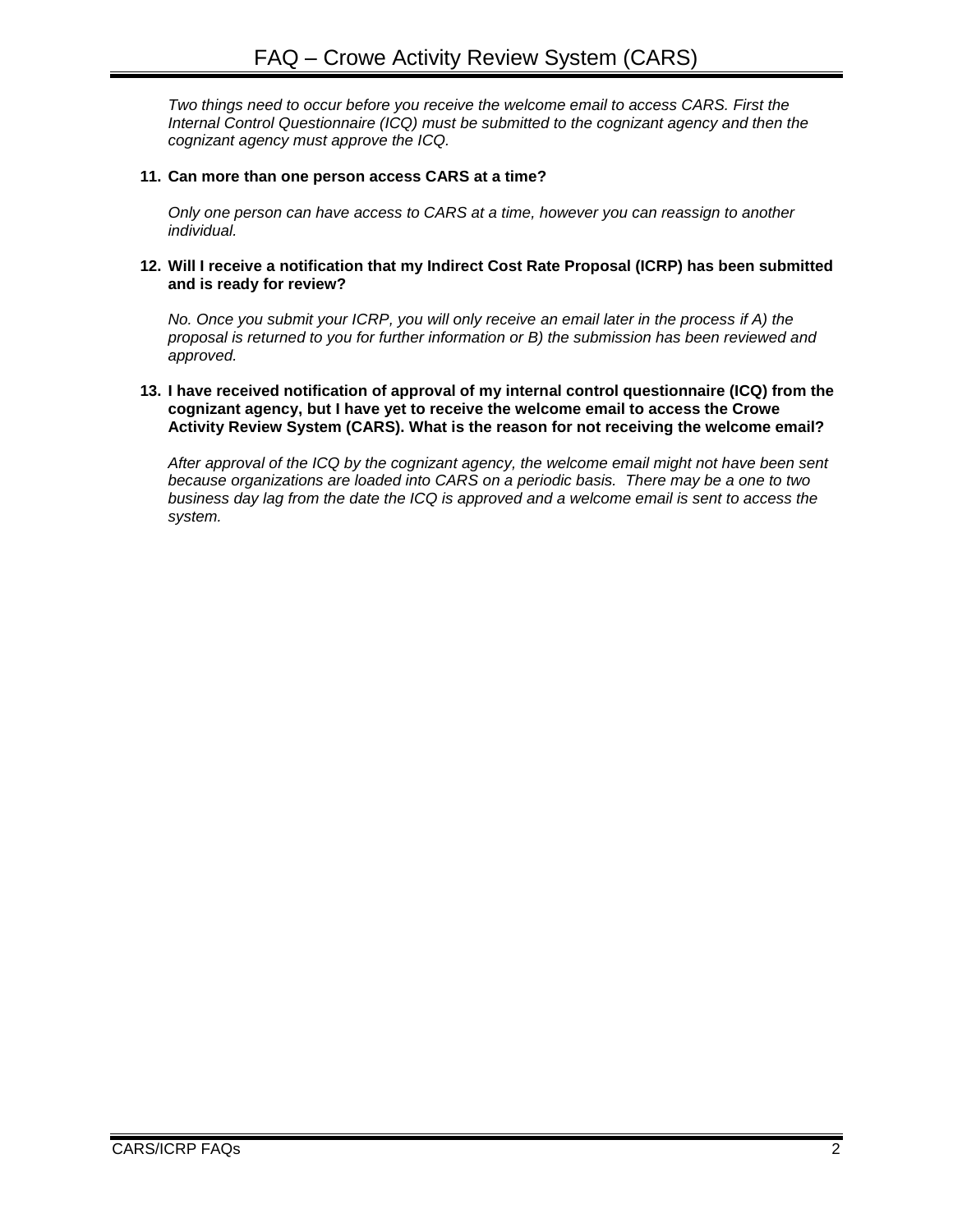*Two things need to occur before you receive the welcome email to access CARS. First the Internal Control Questionnaire (ICQ) must be submitted to the cognizant agency and then the cognizant agency must approve the ICQ.*

# **11. Can more than one person access CARS at a time?**

*Only one person can have access to CARS at a time, however you can reassign to another individual.*

**12. Will I receive a notification that my Indirect Cost Rate Proposal (ICRP) has been submitted and is ready for review?**

*No. Once you submit your ICRP, you will only receive an email later in the process if A) the proposal is returned to you for further information or B) the submission has been reviewed and approved.*

#### **13. I have received notification of approval of my internal control questionnaire (ICQ) from the cognizant agency, but I have yet to receive the welcome email to access the Crowe Activity Review System (CARS). What is the reason for not receiving the welcome email?**

*After approval of the ICQ by the cognizant agency, the welcome email might not have been sent because organizations are loaded into CARS on a periodic basis. There may be a one to two business day lag from the date the ICQ is approved and a welcome email is sent to access the system.*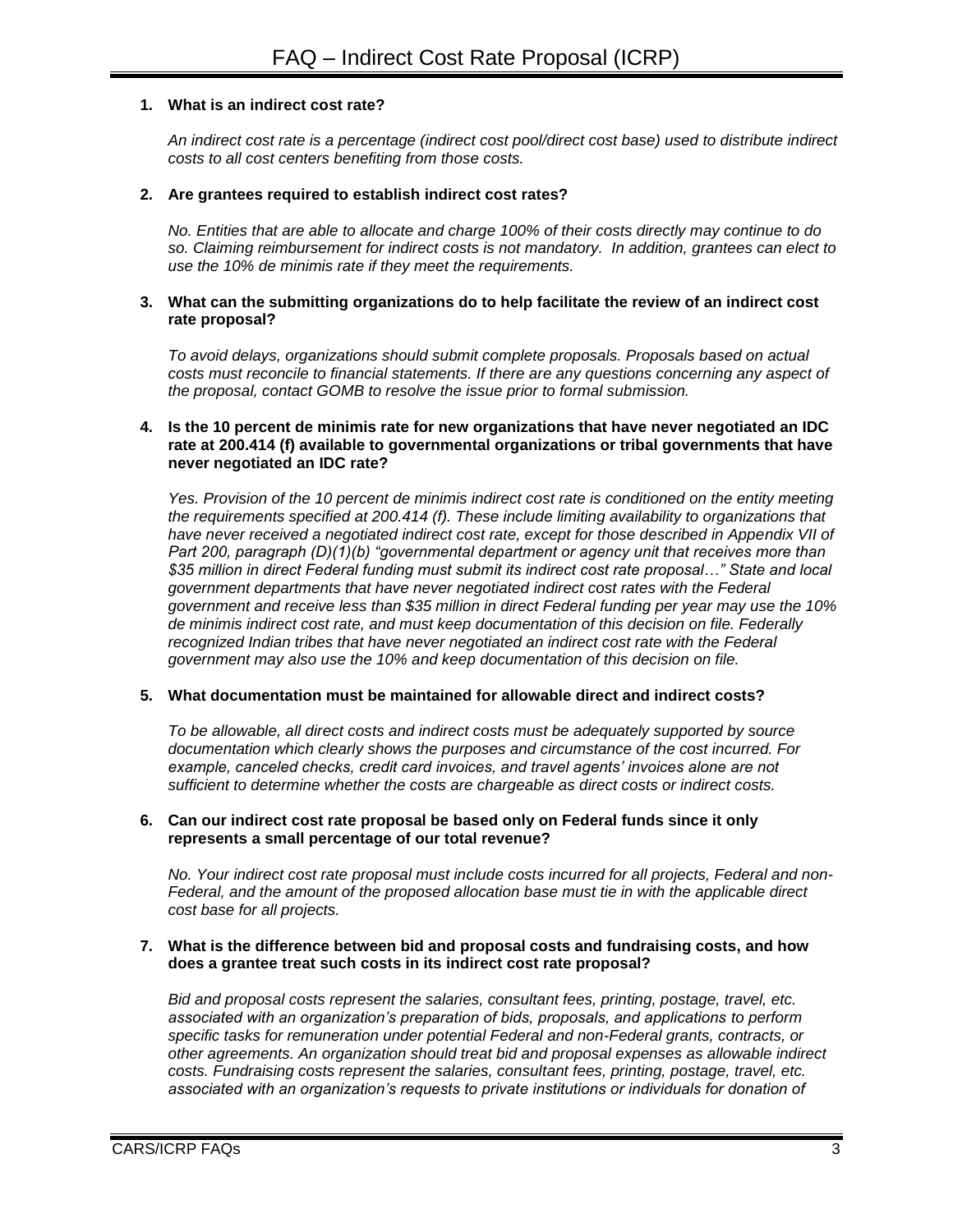# **1. What is an indirect cost rate?**

*An indirect cost rate is a percentage (indirect cost pool/direct cost base) used to distribute indirect costs to all cost centers benefiting from those costs.*

#### **2. Are grantees required to establish indirect cost rates?**

*No. Entities that are able to allocate and charge 100% of their costs directly may continue to do so. Claiming reimbursement for indirect costs is not mandatory. In addition, grantees can elect to use the 10% de minimis rate if they meet the requirements.*

## **3. What can the submitting organizations do to help facilitate the review of an indirect cost rate proposal?**

*To avoid delays, organizations should submit complete proposals. Proposals based on actual costs must reconcile to financial statements. If there are any questions concerning any aspect of the proposal, contact GOMB to resolve the issue prior to formal submission.* 

#### **4. Is the 10 percent de minimis rate for new organizations that have never negotiated an IDC rate at 200.414 (f) available to governmental organizations or tribal governments that have never negotiated an IDC rate?**

*Yes. Provision of the 10 percent de minimis indirect cost rate is conditioned on the entity meeting the requirements specified at 200.414 (f). These include limiting availability to organizations that have never received a negotiated indirect cost rate, except for those described in Appendix VII of Part 200, paragraph (D)(1)(b) "governmental department or agency unit that receives more than \$35 million in direct Federal funding must submit its indirect cost rate proposal…" State and local government departments that have never negotiated indirect cost rates with the Federal government and receive less than \$35 million in direct Federal funding per year may use the 10% de minimis indirect cost rate, and must keep documentation of this decision on file. Federally recognized Indian tribes that have never negotiated an indirect cost rate with the Federal government may also use the 10% and keep documentation of this decision on file.*

## **5. What documentation must be maintained for allowable direct and indirect costs?**

*To be allowable, all direct costs and indirect costs must be adequately supported by source documentation which clearly shows the purposes and circumstance of the cost incurred. For example, canceled checks, credit card invoices, and travel agents' invoices alone are not sufficient to determine whether the costs are chargeable as direct costs or indirect costs.*

#### **6. Can our indirect cost rate proposal be based only on Federal funds since it only represents a small percentage of our total revenue?**

*No. Your indirect cost rate proposal must include costs incurred for all projects, Federal and non-Federal, and the amount of the proposed allocation base must tie in with the applicable direct cost base for all projects.*

#### **7. What is the difference between bid and proposal costs and fundraising costs, and how does a grantee treat such costs in its indirect cost rate proposal?**

*Bid and proposal costs represent the salaries, consultant fees, printing, postage, travel, etc. associated with an organization's preparation of bids, proposals, and applications to perform specific tasks for remuneration under potential Federal and non-Federal grants, contracts, or other agreements. An organization should treat bid and proposal expenses as allowable indirect costs. Fundraising costs represent the salaries, consultant fees, printing, postage, travel, etc. associated with an organization's requests to private institutions or individuals for donation of*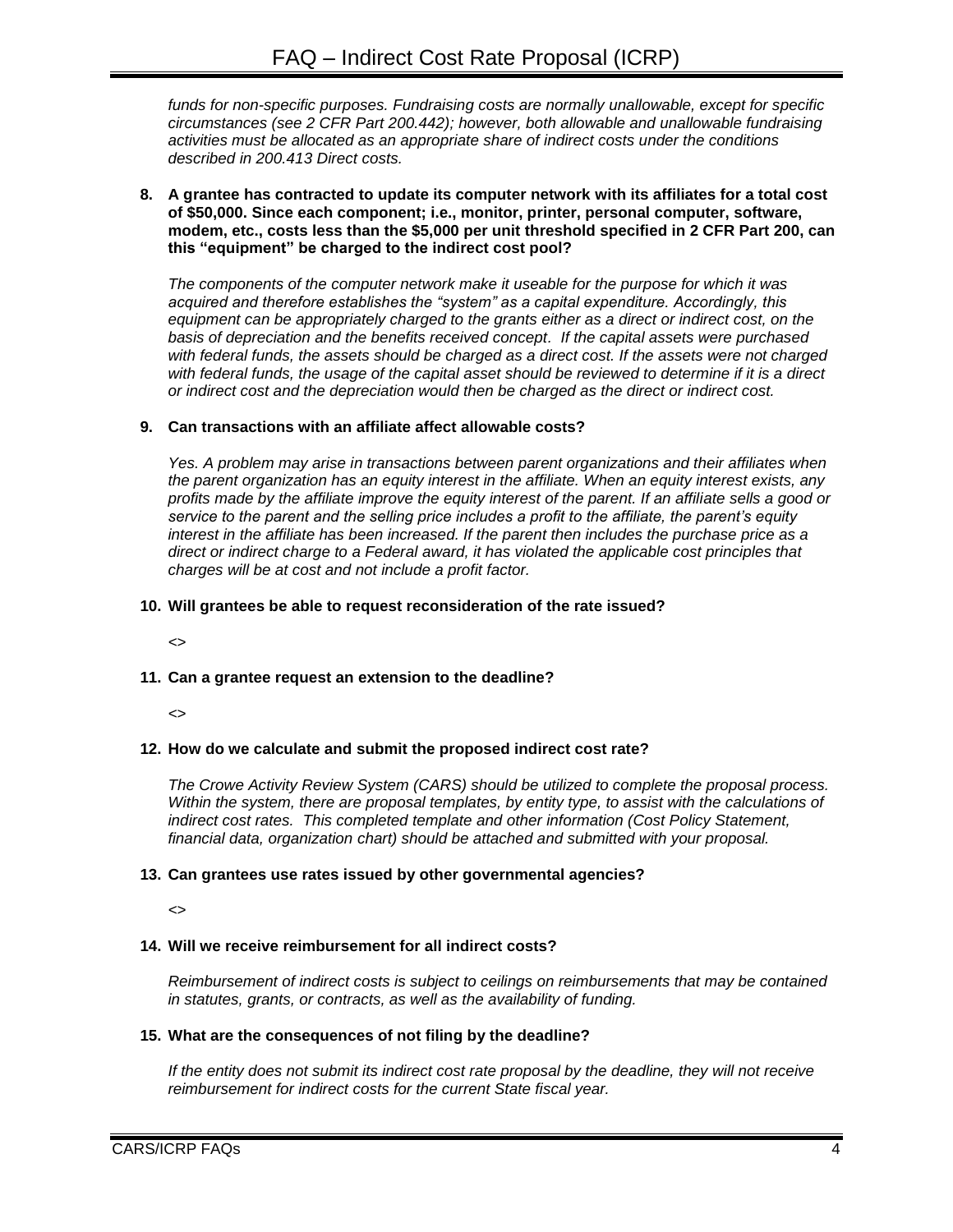*funds for non-specific purposes. Fundraising costs are normally unallowable, except for specific circumstances (see 2 CFR Part 200.442); however, both allowable and unallowable fundraising activities must be allocated as an appropriate share of indirect costs under the conditions described in 200.413 Direct costs.*

**8. A grantee has contracted to update its computer network with its affiliates for a total cost of \$50,000. Since each component; i.e., monitor, printer, personal computer, software, modem, etc., costs less than the \$5,000 per unit threshold specified in 2 CFR Part 200, can this "equipment" be charged to the indirect cost pool?**

*The components of the computer network make it useable for the purpose for which it was acquired and therefore establishes the "system" as a capital expenditure. Accordingly, this equipment can be appropriately charged to the grants either as a direct or indirect cost, on the basis of depreciation and the benefits received concept. If the capital assets were purchased*  with federal funds, the assets should be charged as a direct cost. If the assets were not charged *with federal funds, the usage of the capital asset should be reviewed to determine if it is a direct or indirect cost and the depreciation would then be charged as the direct or indirect cost.*

# **9. Can transactions with an affiliate affect allowable costs?**

*Yes. A problem may arise in transactions between parent organizations and their affiliates when the parent organization has an equity interest in the affiliate. When an equity interest exists, any profits made by the affiliate improve the equity interest of the parent. If an affiliate sells a good or service to the parent and the selling price includes a profit to the affiliate, the parent's equity interest in the affiliate has been increased. If the parent then includes the purchase price as a direct or indirect charge to a Federal award, it has violated the applicable cost principles that charges will be at cost and not include a profit factor.*

# **10. Will grantees be able to request reconsideration of the rate issued?**

*<>*

# **11. Can a grantee request an extension to the deadline?**

*<>*

# **12. How do we calculate and submit the proposed indirect cost rate?**

*The Crowe Activity Review System (CARS) should be utilized to complete the proposal process. Within the system, there are proposal templates, by entity type, to assist with the calculations of indirect cost rates. This completed template and other information (Cost Policy Statement, financial data, organization chart) should be attached and submitted with your proposal.*

# **13. Can grantees use rates issued by other governmental agencies?**

*<>*

# **14. Will we receive reimbursement for all indirect costs?**

*Reimbursement of indirect costs is subject to ceilings on reimbursements that may be contained in statutes, grants, or contracts, as well as the availability of funding.*

# **15. What are the consequences of not filing by the deadline?**

*If the entity does not submit its indirect cost rate proposal by the deadline, they will not receive reimbursement for indirect costs for the current State fiscal year.*